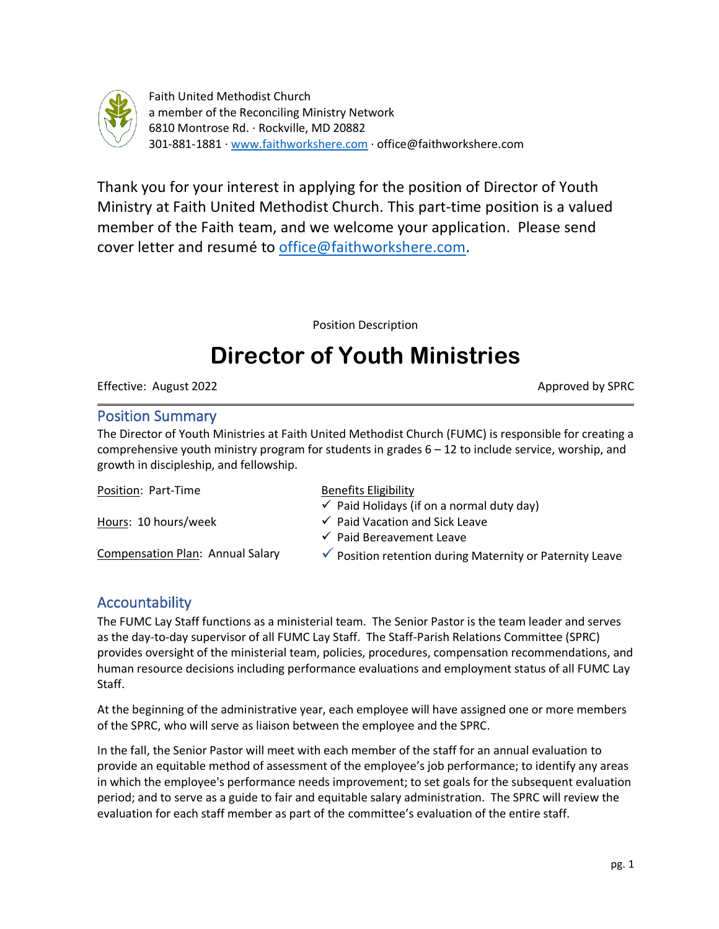

Faith United Methodist Church a member of the Reconciling Ministry Network 6810 Montrose Rd. · Rockville, MD 20882 301-881-1881 · [www.faithworkshere.com](http://www.faithworkshere.com/) · office@faithworkshere.com

Thank you for your interest in applying for the position of Director of Youth Ministry at Faith United Methodist Church. This part-time position is a valued member of the Faith team, and we welcome your application. Please send cover letter and resumé to [office@faithworkshere.com.](mailto:office@faithworkshere.com)

Position Description

# **Director of Youth Ministries**

Effective: August 2022 **Approved by SPRC Approved by SPRC** 

#### Position Summary

The Director of Youth Ministries at Faith United Methodist Church (FUMC) is responsible for creating a comprehensive youth ministry program for students in grades 6 – 12 to include service, worship, and growth in discipleship, and fellowship.

Position: Part-Time

Hours: 10 hours/week

Compensation Plan: Annual Salary

Benefits Eligibility

- $\checkmark$  Paid Holidays (if on a normal duty day)
- $\checkmark$  Paid Vacation and Sick Leave
- $\checkmark$  Paid Bereavement Leave
- $\checkmark$  Position retention during Maternity or Paternity Leave

### Accountability

The FUMC Lay Staff functions as a ministerial team. The Senior Pastor is the team leader and serves as the day-to-day supervisor of all FUMC Lay Staff. The Staff-Parish Relations Committee (SPRC) provides oversight of the ministerial team, policies, procedures, compensation recommendations, and human resource decisions including performance evaluations and employment status of all FUMC Lay Staff.

At the beginning of the administrative year, each employee will have assigned one or more members of the SPRC, who will serve as liaison between the employee and the SPRC.

In the fall, the Senior Pastor will meet with each member of the staff for an annual evaluation to provide an equitable method of assessment of the employee's job performance; to identify any areas in which the employee's performance needs improvement; to set goals for the subsequent evaluation period; and to serve as a guide to fair and equitable salary administration. The SPRC will review the evaluation for each staff member as part of the committee's evaluation of the entire staff.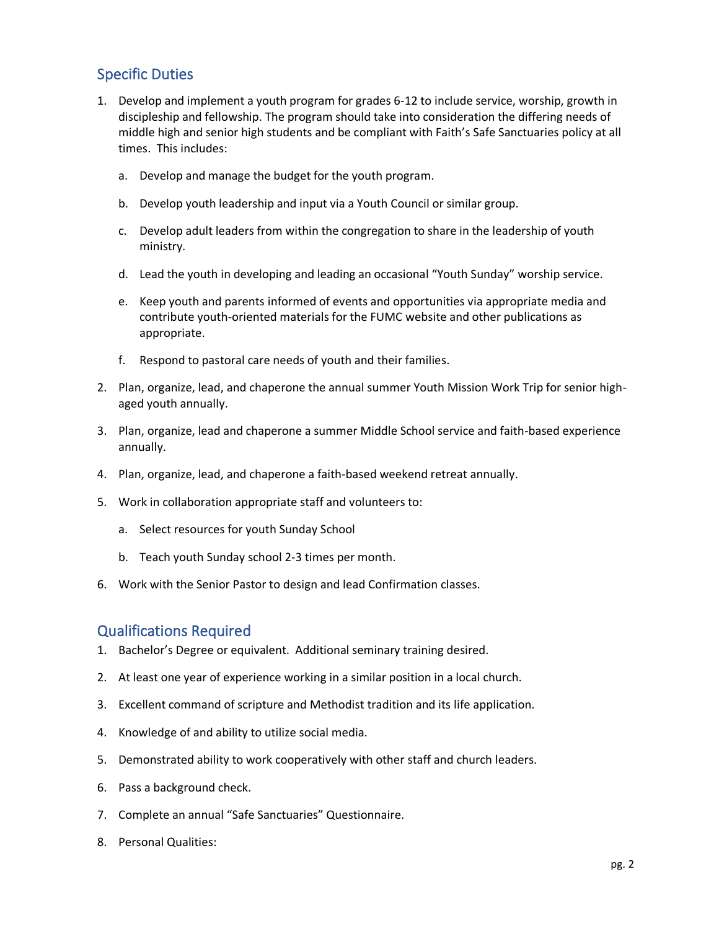## Specific Duties

- 1. Develop and implement a youth program for grades 6-12 to include service, worship, growth in discipleship and fellowship. The program should take into consideration the differing needs of middle high and senior high students and be compliant with Faith's Safe Sanctuaries policy at all times. This includes:
	- a. Develop and manage the budget for the youth program.
	- b. Develop youth leadership and input via a Youth Council or similar group.
	- c. Develop adult leaders from within the congregation to share in the leadership of youth ministry.
	- d. Lead the youth in developing and leading an occasional "Youth Sunday" worship service.
	- e. Keep youth and parents informed of events and opportunities via appropriate media and contribute youth-oriented materials for the FUMC website and other publications as appropriate.
	- f. Respond to pastoral care needs of youth and their families.
- 2. Plan, organize, lead, and chaperone the annual summer Youth Mission Work Trip for senior highaged youth annually.
- 3. Plan, organize, lead and chaperone a summer Middle School service and faith-based experience annually.
- 4. Plan, organize, lead, and chaperone a faith-based weekend retreat annually.
- 5. Work in collaboration appropriate staff and volunteers to:
	- a. Select resources for youth Sunday School
	- b. Teach youth Sunday school 2-3 times per month.
- 6. Work with the Senior Pastor to design and lead Confirmation classes.

### Qualifications Required

- 1. Bachelor's Degree or equivalent. Additional seminary training desired.
- 2. At least one year of experience working in a similar position in a local church.
- 3. Excellent command of scripture and Methodist tradition and its life application.
- 4. Knowledge of and ability to utilize social media.
- 5. Demonstrated ability to work cooperatively with other staff and church leaders.
- 6. Pass a background check.
- 7. Complete an annual "Safe Sanctuaries" Questionnaire.
- 8. Personal Qualities: